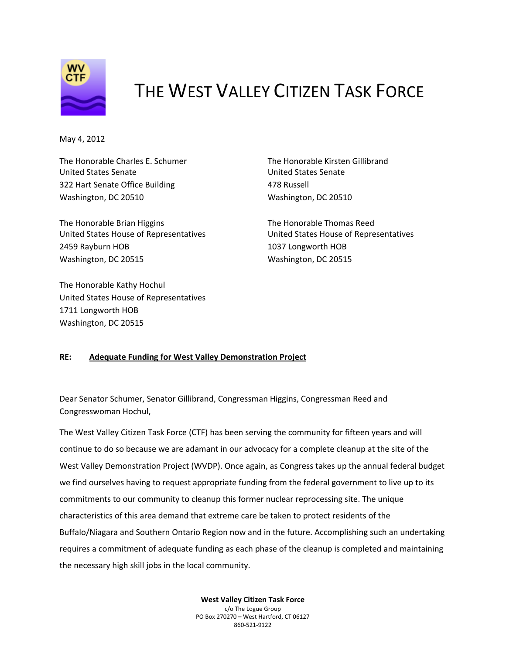

## THE WEST VALLEY CITIZEN TASK FORCE

May 4, 2012

The Honorable Charles E. Schumer The Honorable Kirsten Gillibrand United States Senate United States Senate 322 Hart Senate Office Building **1999 120 Mars** 478 Russell Washington, DC 20510 Washington, DC 20510

The Honorable Brian Higgins The Honorable Thomas Reed United States House of Representatives United States House of Representatives 2459 Rayburn HOB 1037 Longworth HOB Washington, DC 20515 Washington, DC 20515

The Honorable Kathy Hochul United States House of Representatives 1711 Longworth HOB Washington, DC 20515

## **RE: Adequate Funding for West Valley Demonstration Project**

Dear Senator Schumer, Senator Gillibrand, Congressman Higgins, Congressman Reed and Congresswoman Hochul,

The West Valley Citizen Task Force (CTF) has been serving the community for fifteen years and will continue to do so because we are adamant in our advocacy for a complete cleanup at the site of the West Valley Demonstration Project (WVDP). Once again, as Congress takes up the annual federal budget we find ourselves having to request appropriate funding from the federal government to live up to its commitments to our community to cleanup this former nuclear reprocessing site. The unique characteristics of this area demand that extreme care be taken to protect residents of the Buffalo/Niagara and Southern Ontario Region now and in the future. Accomplishing such an undertaking requires a commitment of adequate funding as each phase of the cleanup is completed and maintaining the necessary high skill jobs in the local community.

> **West Valley Citizen Task Force** c/o The Logue Group PO Box 270270 – West Hartford, CT 06127 860‐521‐9122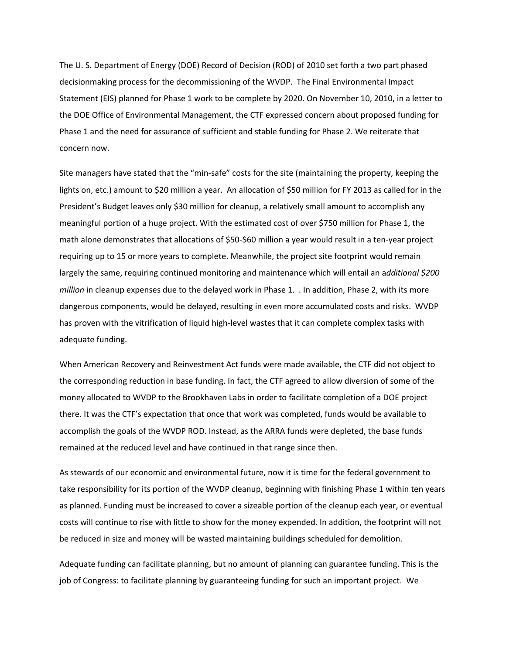The U. S. Department of Energy (DOE) Record of Decision (ROD) of 2010 set forth a two part phased decisionmaking process for the decommissioning of the WVDP. The Final Environmental Impact Statement (EIS) planned for Phase 1 work to be complete by 2020. On November 10, 2010, in a letter to the DOE Office of Environmental Management, the CTF expressed concern about proposed funding for Phase 1 and the need for assurance of sufficient and stable funding for Phase 2. We reiterate that concern now.

Site managers have stated that the "min‐safe" costs for the site (maintaining the property, keeping the lights on, etc.) amount to \$20 million a year. An allocation of \$50 million for FY 2013 as called for in the President's Budget leaves only \$30 million for cleanup, a relatively small amount to accomplish any meaningful portion of a huge project. With the estimated cost of over \$750 million for Phase 1, the math alone demonstrates that allocations of \$50‐\$60 million a year would result in a ten‐year project requiring up to 15 or more years to complete. Meanwhile, the project site footprint would remain largely the same, requiring continued monitoring and maintenance which will entail an a*dditional \$200 million* in cleanup expenses due to the delayed work in Phase 1. . In addition, Phase 2, with its more dangerous components, would be delayed, resulting in even more accumulated costs and risks. WVDP has proven with the vitrification of liquid high-level wastes that it can complete complex tasks with adequate funding.

When American Recovery and Reinvestment Act funds were made available, the CTF did not object to the corresponding reduction in base funding. In fact, the CTF agreed to allow diversion of some of the money allocated to WVDP to the Brookhaven Labs in order to facilitate completion of a DOE project there. It was the CTF's expectation that once that work was completed, funds would be available to accomplish the goals of the WVDP ROD. Instead, as the ARRA funds were depleted, the base funds remained at the reduced level and have continued in that range since then.

As stewards of our economic and environmental future, now it is time for the federal government to take responsibility for its portion of the WVDP cleanup, beginning with finishing Phase 1 within ten years as planned. Funding must be increased to cover a sizeable portion of the cleanup each year, or eventual costs will continue to rise with little to show for the money expended. In addition, the footprint will not be reduced in size and money will be wasted maintaining buildings scheduled for demolition.

Adequate funding can facilitate planning, but no amount of planning can guarantee funding. This is the job of Congress: to facilitate planning by guaranteeing funding for such an important project. We